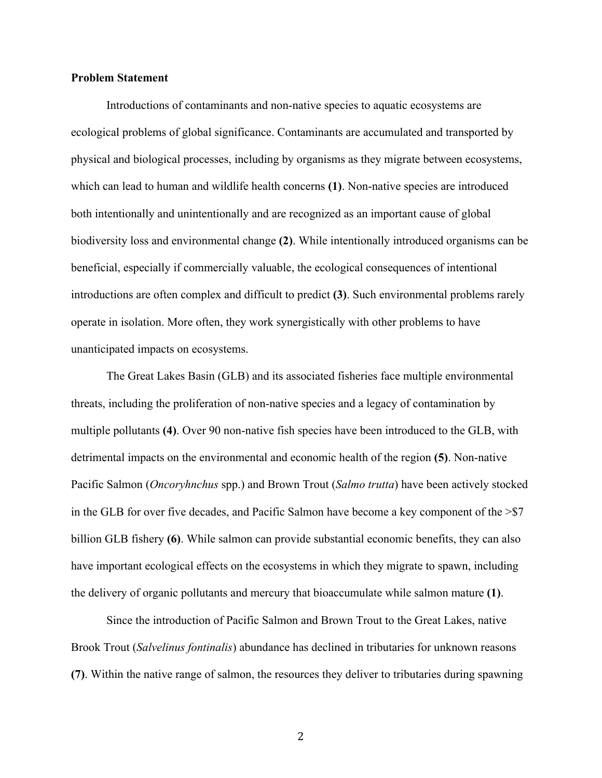# **Problem Statement**

Introductions of contaminants and non-native species to aquatic ecosystems are ecological problems of global significance. Contaminants are accumulated and transported by physical and biological processes, including by organisms as they migrate between ecosystems, which can lead to human and wildlife health concerns **(1)**. Non-native species are introduced both intentionally and unintentionally and are recognized as an important cause of global biodiversity loss and environmental change **(2)**. While intentionally introduced organisms can be beneficial, especially if commercially valuable, the ecological consequences of intentional introductions are often complex and difficult to predict **(3)**. Such environmental problems rarely operate in isolation. More often, they work synergistically with other problems to have unanticipated impacts on ecosystems.

The Great Lakes Basin (GLB) and its associated fisheries face multiple environmental threats, including the proliferation of non-native species and a legacy of contamination by multiple pollutants **(4)**. Over 90 non-native fish species have been introduced to the GLB, with detrimental impacts on the environmental and economic health of the region **(5)**. Non-native Pacific Salmon (*Oncoryhnchus* spp.) and Brown Trout (*Salmo trutta*) have been actively stocked in the GLB for over five decades, and Pacific Salmon have become a key component of the  $>$ \$7 billion GLB fishery **(6)**. While salmon can provide substantial economic benefits, they can also have important ecological effects on the ecosystems in which they migrate to spawn, including the delivery of organic pollutants and mercury that bioaccumulate while salmon mature **(1)**.

Since the introduction of Pacific Salmon and Brown Trout to the Great Lakes, native Brook Trout (*Salvelinus fontinalis*) abundance has declined in tributaries for unknown reasons **(7)**. Within the native range of salmon, the resources they deliver to tributaries during spawning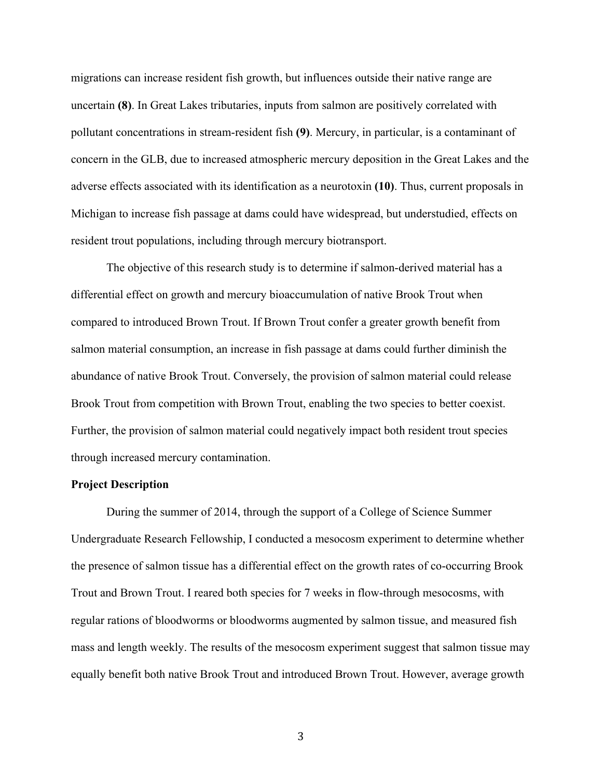migrations can increase resident fish growth, but influences outside their native range are uncertain **(8)**. In Great Lakes tributaries, inputs from salmon are positively correlated with pollutant concentrations in stream-resident fish **(9)**. Mercury, in particular, is a contaminant of concern in the GLB, due to increased atmospheric mercury deposition in the Great Lakes and the adverse effects associated with its identification as a neurotoxin **(10)**. Thus, current proposals in Michigan to increase fish passage at dams could have widespread, but understudied, effects on resident trout populations, including through mercury biotransport.

The objective of this research study is to determine if salmon-derived material has a differential effect on growth and mercury bioaccumulation of native Brook Trout when compared to introduced Brown Trout. If Brown Trout confer a greater growth benefit from salmon material consumption, an increase in fish passage at dams could further diminish the abundance of native Brook Trout. Conversely, the provision of salmon material could release Brook Trout from competition with Brown Trout, enabling the two species to better coexist. Further, the provision of salmon material could negatively impact both resident trout species through increased mercury contamination.

## **Project Description**

During the summer of 2014, through the support of a College of Science Summer Undergraduate Research Fellowship, I conducted a mesocosm experiment to determine whether the presence of salmon tissue has a differential effect on the growth rates of co-occurring Brook Trout and Brown Trout. I reared both species for 7 weeks in flow-through mesocosms, with regular rations of bloodworms or bloodworms augmented by salmon tissue, and measured fish mass and length weekly. The results of the mesocosm experiment suggest that salmon tissue may equally benefit both native Brook Trout and introduced Brown Trout. However, average growth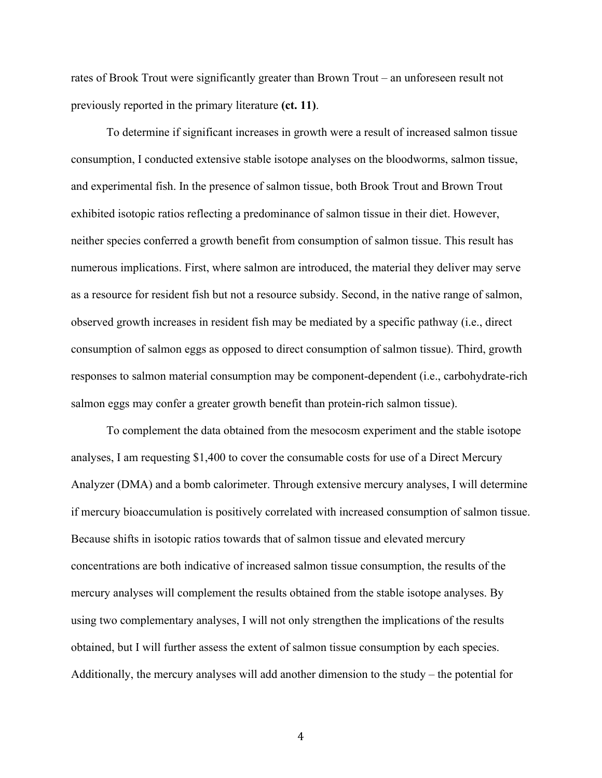rates of Brook Trout were significantly greater than Brown Trout – an unforeseen result not previously reported in the primary literature **(ct. 11)**.

To determine if significant increases in growth were a result of increased salmon tissue consumption, I conducted extensive stable isotope analyses on the bloodworms, salmon tissue, and experimental fish. In the presence of salmon tissue, both Brook Trout and Brown Trout exhibited isotopic ratios reflecting a predominance of salmon tissue in their diet. However, neither species conferred a growth benefit from consumption of salmon tissue. This result has numerous implications. First, where salmon are introduced, the material they deliver may serve as a resource for resident fish but not a resource subsidy. Second, in the native range of salmon, observed growth increases in resident fish may be mediated by a specific pathway (i.e., direct consumption of salmon eggs as opposed to direct consumption of salmon tissue). Third, growth responses to salmon material consumption may be component-dependent (i.e., carbohydrate-rich salmon eggs may confer a greater growth benefit than protein-rich salmon tissue).

To complement the data obtained from the mesocosm experiment and the stable isotope analyses, I am requesting \$1,400 to cover the consumable costs for use of a Direct Mercury Analyzer (DMA) and a bomb calorimeter. Through extensive mercury analyses, I will determine if mercury bioaccumulation is positively correlated with increased consumption of salmon tissue. Because shifts in isotopic ratios towards that of salmon tissue and elevated mercury concentrations are both indicative of increased salmon tissue consumption, the results of the mercury analyses will complement the results obtained from the stable isotope analyses. By using two complementary analyses, I will not only strengthen the implications of the results obtained, but I will further assess the extent of salmon tissue consumption by each species. Additionally, the mercury analyses will add another dimension to the study – the potential for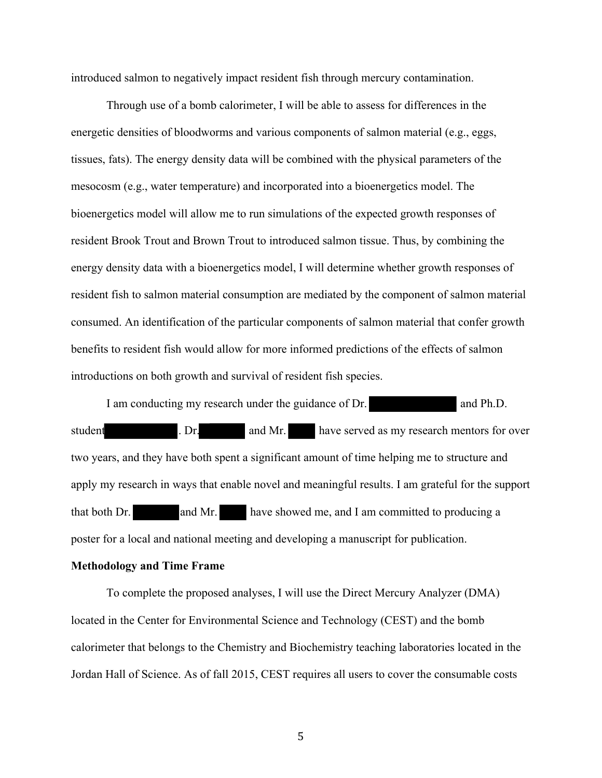introduced salmon to negatively impact resident fish through mercury contamination.

Through use of a bomb calorimeter, I will be able to assess for differences in the energetic densities of bloodworms and various components of salmon material (e.g., eggs, tissues, fats). The energy density data will be combined with the physical parameters of the mesocosm (e.g., water temperature) and incorporated into a bioenergetics model. The bioenergetics model will allow me to run simulations of the expected growth responses of resident Brook Trout and Brown Trout to introduced salmon tissue. Thus, by combining the energy density data with a bioenergetics model, I will determine whether growth responses of resident fish to salmon material consumption are mediated by the component of salmon material consumed. An identification of the particular components of salmon material that confer growth benefits to resident fish would allow for more informed predictions of the effects of salmon introductions on both growth and survival of resident fish species.

I am conducting my research under the guidance of Dr. and Ph.D. student . Dr. and Mr. have served as my research mentors for over two years, and they have both spent a significant amount of time helping me to structure and apply my research in ways that enable novel and meaningful results. I am grateful for the support that both Dr. and Mr. have showed me, and I am committed to producing a poster for a local and national meeting and developing a manuscript for publication.

#### **Methodology and Time Frame**

To complete the proposed analyses, I will use the Direct Mercury Analyzer (DMA) located in the Center for Environmental Science and Technology (CEST) and the bomb calorimeter that belongs to the Chemistry and Biochemistry teaching laboratories located in the Jordan Hall of Science. As of fall 2015, CEST requires all users to cover the consumable costs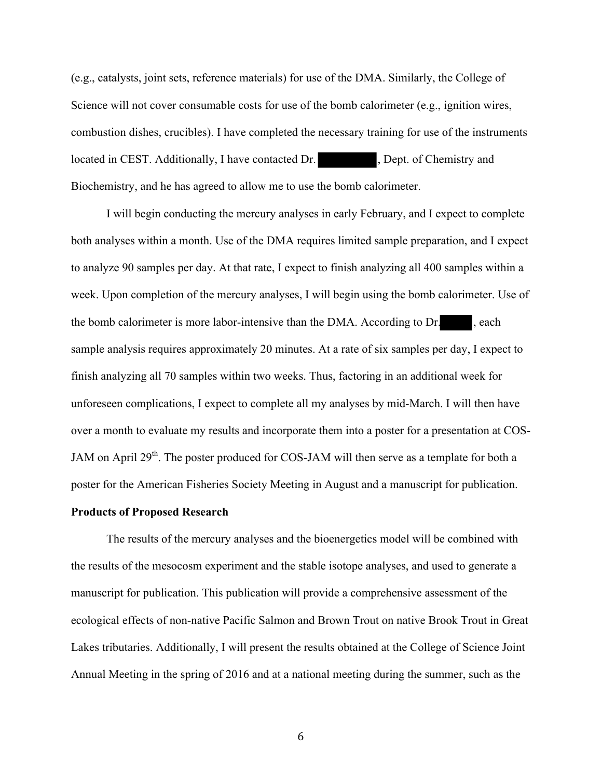(e.g., catalysts, joint sets, reference materials) for use of the DMA. Similarly, the College of Science will not cover consumable costs for use of the bomb calorimeter (e.g., ignition wires, combustion dishes, crucibles). I have completed the necessary training for use of the instruments located in CEST. Additionally, I have contacted Dr. (a) pept. of Chemistry and Biochemistry, and he has agreed to allow me to use the bomb calorimeter.

I will begin conducting the mercury analyses in early February, and I expect to complete both analyses within a month. Use of the DMA requires limited sample preparation, and I expect to analyze 90 samples per day. At that rate, I expect to finish analyzing all 400 samples within a week. Upon completion of the mercury analyses, I will begin using the bomb calorimeter. Use of the bomb calorimeter is more labor-intensive than the DMA. According to Dr. , each sample analysis requires approximately 20 minutes. At a rate of six samples per day, I expect to finish analyzing all 70 samples within two weeks. Thus, factoring in an additional week for unforeseen complications, I expect to complete all my analyses by mid-March. I will then have over a month to evaluate my results and incorporate them into a poster for a presentation at COS-JAM on April 29<sup>th</sup>. The poster produced for COS-JAM will then serve as a template for both a poster for the American Fisheries Society Meeting in August and a manuscript for publication.

### **Products of Proposed Research**

The results of the mercury analyses and the bioenergetics model will be combined with the results of the mesocosm experiment and the stable isotope analyses, and used to generate a manuscript for publication. This publication will provide a comprehensive assessment of the ecological effects of non-native Pacific Salmon and Brown Trout on native Brook Trout in Great Lakes tributaries. Additionally, I will present the results obtained at the College of Science Joint Annual Meeting in the spring of 2016 and at a national meeting during the summer, such as the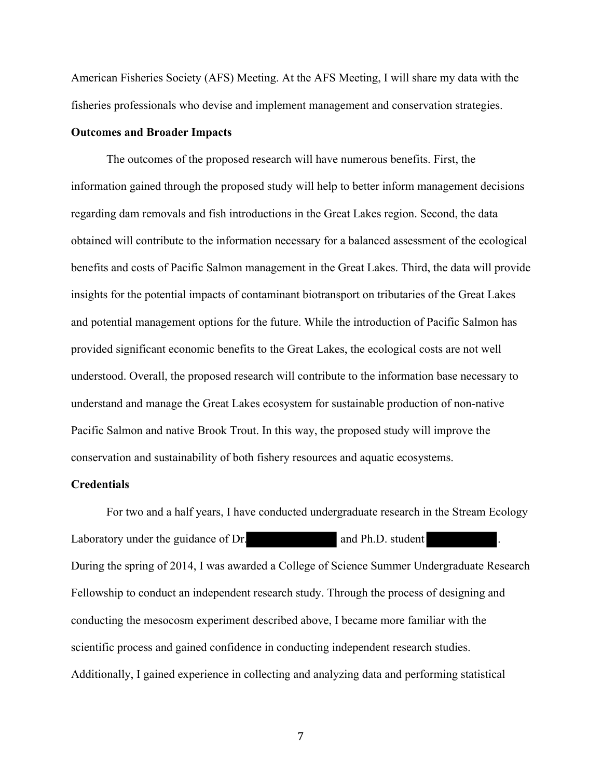American Fisheries Society (AFS) Meeting. At the AFS Meeting, I will share my data with the fisheries professionals who devise and implement management and conservation strategies.

# **Outcomes and Broader Impacts**

The outcomes of the proposed research will have numerous benefits. First, the information gained through the proposed study will help to better inform management decisions regarding dam removals and fish introductions in the Great Lakes region. Second, the data obtained will contribute to the information necessary for a balanced assessment of the ecological benefits and costs of Pacific Salmon management in the Great Lakes. Third, the data will provide insights for the potential impacts of contaminant biotransport on tributaries of the Great Lakes and potential management options for the future. While the introduction of Pacific Salmon has provided significant economic benefits to the Great Lakes, the ecological costs are not well understood. Overall, the proposed research will contribute to the information base necessary to understand and manage the Great Lakes ecosystem for sustainable production of non-native Pacific Salmon and native Brook Trout. In this way, the proposed study will improve the conservation and sustainability of both fishery resources and aquatic ecosystems.

## **Credentials**

For two and a half years, I have conducted undergraduate research in the Stream Ecology Laboratory under the guidance of Dr. and Ph.D. student During the spring of 2014, I was awarded a College of Science Summer Undergraduate Research Fellowship to conduct an independent research study. Through the process of designing and conducting the mesocosm experiment described above, I became more familiar with the scientific process and gained confidence in conducting independent research studies. Additionally, I gained experience in collecting and analyzing data and performing statistical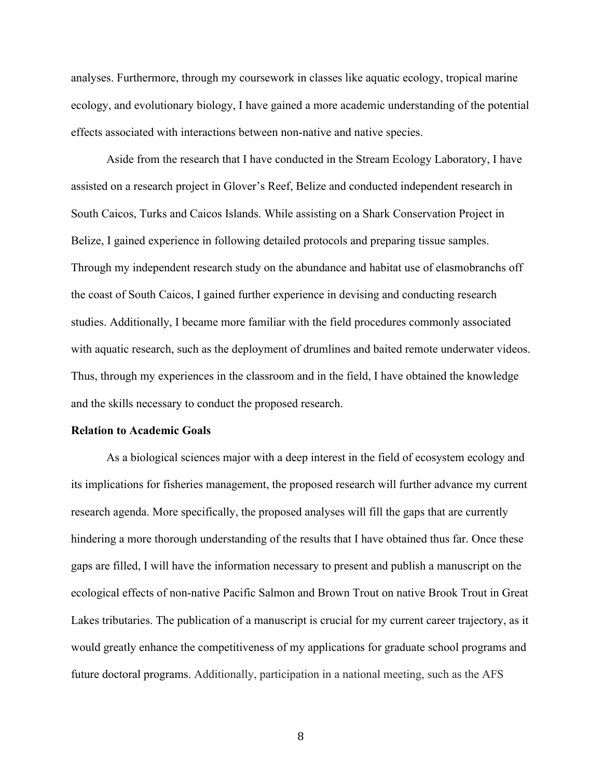analyses. Furthermore, through my coursework in classes like aquatic ecology, tropical marine ecology, and evolutionary biology, I have gained a more academic understanding of the potential effects associated with interactions between non-native and native species.

Aside from the research that I have conducted in the Stream Ecology Laboratory, I have assisted on a research project in Glover's Reef, Belize and conducted independent research in South Caicos, Turks and Caicos Islands. While assisting on a Shark Conservation Project in Belize, I gained experience in following detailed protocols and preparing tissue samples. Through my independent research study on the abundance and habitat use of elasmobranchs off the coast of South Caicos, I gained further experience in devising and conducting research studies. Additionally, I became more familiar with the field procedures commonly associated with aquatic research, such as the deployment of drumlines and baited remote underwater videos. Thus, through my experiences in the classroom and in the field, I have obtained the knowledge and the skills necessary to conduct the proposed research.

#### **Relation to Academic Goals**

As a biological sciences major with a deep interest in the field of ecosystem ecology and its implications for fisheries management, the proposed research will further advance my current research agenda. More specifically, the proposed analyses will fill the gaps that are currently hindering a more thorough understanding of the results that I have obtained thus far. Once these gaps are filled, I will have the information necessary to present and publish a manuscript on the ecological effects of non-native Pacific Salmon and Brown Trout on native Brook Trout in Great Lakes tributaries. The publication of a manuscript is crucial for my current career trajectory, as it would greatly enhance the competitiveness of my applications for graduate school programs and future doctoral programs. Additionally, participation in a national meeting, such as the AFS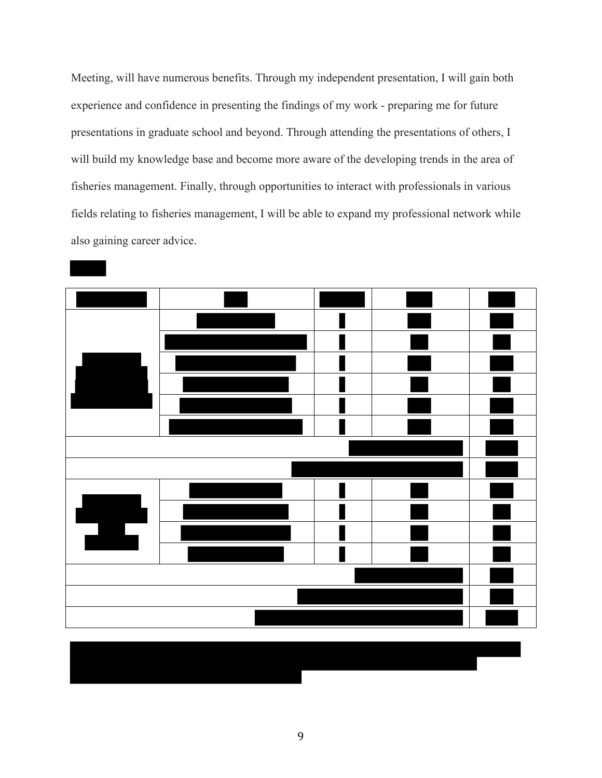Meeting, will have numerous benefits. Through my independent presentation, I will gain both experience and confidence in presenting the findings of my work - preparing me for future presentations in graduate school and beyond. Through attending the presentations of others, I will build my knowledge base and become more aware of the developing trends in the area of fisheries management. Finally, through opportunities to interact with professionals in various fields relating to fisheries management, I will be able to expand my professional network while also gaining career advice.